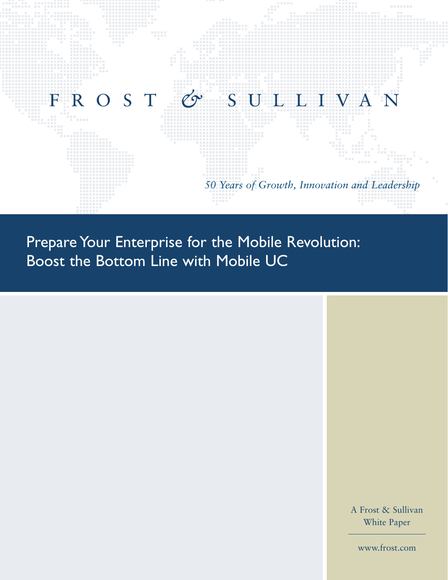

Prepare Your Enterprise for the Mobile Revolution: Boost the Bottom Line with Mobile UC

> A Frost & Sullivan White Paper

www.frost.com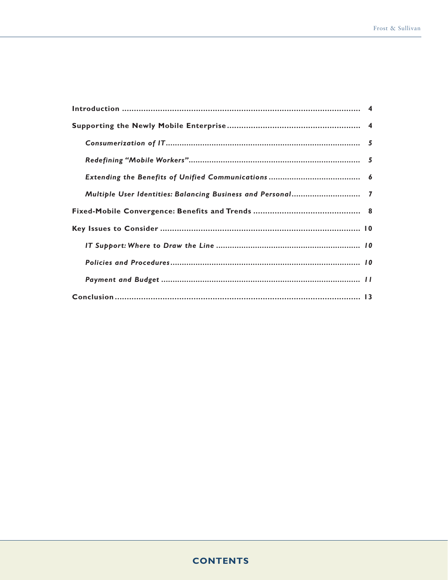| Multiple User Identities: Balancing Business and Personal 7 |  |
|-------------------------------------------------------------|--|
|                                                             |  |
|                                                             |  |
|                                                             |  |
|                                                             |  |
|                                                             |  |
|                                                             |  |

# **CONTENTS**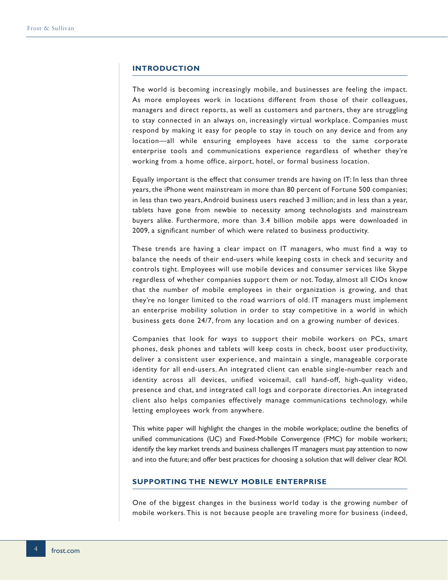## **INTRODUCTION**

The world is becoming increasingly mobile, and businesses are feeling the impact. As more employees work in locations different from those of their colleagues, managers and direct reports, as well as customers and partners, they are struggling to stay connected in an always on, increasingly virtual workplace. Companies must respond by making it easy for people to stay in touch on any device and from any location—all while ensuring employees have access to the same corporate enterprise tools and communications experience regardless of whether they're working from a home office, airport, hotel, or formal business location.

Equally important is the effect that consumer trends are having on IT: In less than three years, the iPhone went mainstream in more than 80 percent of Fortune 500 companies; in less than two years, Android business users reached 3 million; and in less than a year, tablets have gone from newbie to necessity among technologists and mainstream buyers alike. Furthermore, more than 3.4 billion mobile apps were downloaded in 2009, a significant number of which were related to business productivity.

These trends are having a clear impact on IT managers, who must find a way to balance the needs of their end-users while keeping costs in check and security and controls tight. Employees will use mobile devices and consumer services like Skype regardless of whether companies support them or not. Today, almost all CIOs know that the number of mobile employees in their organization is growing, and that they're no longer limited to the road warriors of old. IT managers must implement an enterprise mobility solution in order to stay competitive in a world in which business gets done 24/7, from any location and on a growing number of devices.

Companies that look for ways to support their mobile workers on PCs, smart phones, desk phones and tablets will keep costs in check, boost user productivity, deliver a consistent user experience, and maintain a single, manageable corporate identity for all end-users. An integrated client can enable single-number reach and identity across all devices, unified voicemail, call hand-off, high-quality video, presence and chat, and integrated call logs and corporate directories. An integrated client also helps companies effectively manage communications technology, while letting employees work from anywhere.

This white paper will highlight the changes in the mobile workplace; outline the benefits of unified communications (UC) and Fixed-Mobile Convergence (FMC) for mobile workers; identify the key market trends and business challenges IT managers must pay attention to now and into the future; and offer best practices for choosing a solution that will deliver clear ROI.

## **SUPPORTING THE NEWLY MOBILE ENTERPRISE**

One of the biggest changes in the business world today is the growing number of mobile workers. This is not because people are traveling more for business (indeed,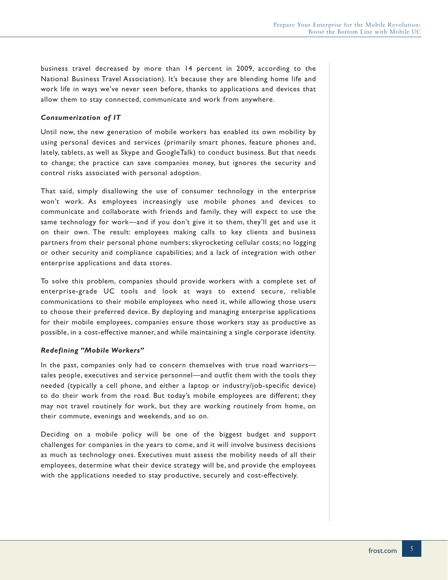business travel decreased by more than 14 percent in 2009, according to the National Business Travel Association). It's because they are blending home life and work life in ways we've never seen before, thanks to applications and devices that allow them to stay connected, communicate and work from anywhere.

## *Consumerization of IT*

Until now, the new generation of mobile workers has enabled its own mobility by using personal devices and services (primarily smart phones, feature phones and, lately, tablets, as well as Skype and GoogleTalk) to conduct business. But that needs to change; the practice can save companies money, but ignores the security and control risks associated with personal adoption.

That said, simply disallowing the use of consumer technology in the enterprise won't work. As employees increasingly use mobile phones and devices to communicate and collaborate with friends and family, they will expect to use the same technology for work—and if you don't give it to them, they'll get and use it on their own. The result: employees making calls to key clients and business partners from their personal phone numbers; skyrocketing cellular costs; no logging or other security and compliance capabilities; and a lack of integration with other enterprise applications and data stores.

To solve this problem, companies should provide workers with a complete set of enterprise-grade UC tools and look at ways to extend secure, reliable communications to their mobile employees who need it, while allowing those users to choose their preferred device. By deploying and managing enterprise applications for their mobile employees, companies ensure those workers stay as productive as possible, in a cost-effective manner, and while maintaining a single corporate identity.

## *Redefining "Mobile Workers"*

In the past, companies only had to concern themselves with true road warriors sales people, executives and service personnel—and outfit them with the tools they needed (typically a cell phone, and either a laptop or industry/job-specific device) to do their work from the road. But today's mobile employees are different; they may not travel routinely for work, but they are working routinely from home, on their commute, evenings and weekends, and so on.

Deciding on a mobile policy will be one of the biggest budget and support challenges for companies in the years to come, and it will involve business decisions as much as technology ones. Executives must assess the mobility needs of all their employees, determine what their device strategy will be, and provide the employees with the applications needed to stay productive, securely and cost-effectively.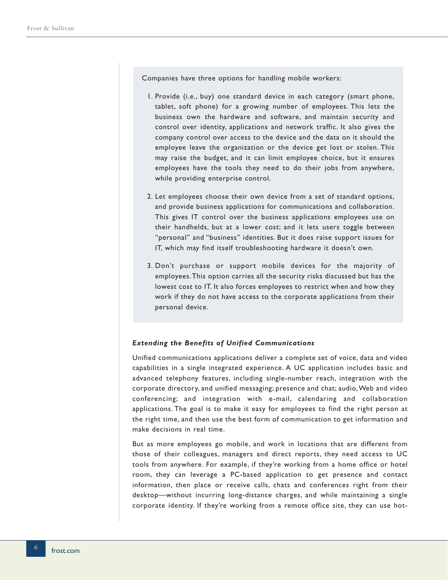Companies have three options for handling mobile workers:

- 1. Provide (i.e., buy) one standard device in each category (smart phone, tablet, soft phone) for a growing number of employees. This lets the business own the hardware and software, and maintain security and control over identity, applications and network traffic. It also gives the company control over access to the device and the data on it should the employee leave the organization or the device get lost or stolen. This may raise the budget, and it can limit employee choice, but it ensures employees have the tools they need to do their jobs from anywhere, while providing enterprise control.
- 2. Let employees choose their own device from a set of standard options, and provide business applications for communications and collaboration. This gives IT control over the business applications employees use on their handhelds, but at a lower cost; and it lets users toggle between "personal" and "business" identities. But it does raise support issues for IT, which may find itself troubleshooting hardware it doesn't own.
- 3. Don't purchase or support mobile devices for the majority of employees. This option carries all the security risks discussed but has the lowest cost to IT. It also forces employees to restrict when and how they work if they do not have access to the corporate applications from their personal device.

### *Extending the Benefits of Unified Communications*

Unified communications applications deliver a complete set of voice, data and video capabilities in a single integrated experience. A UC application includes basic and advanced telephony features, including single-number reach, integration with the corporate directory, and unified messaging; presence and chat; audio, Web and video conferencing; and integration with e-mail, calendaring and collaboration applications. The goal is to make it easy for employees to find the right person at the right time, and then use the best form of communication to get information and make decisions in real time.

But as more employees go mobile, and work in locations that are different from those of their colleagues, managers and direct reports, they need access to UC tools from anywhere. For example, if they're working from a home office or hotel room, they can leverage a PC-based application to get presence and contact information, then place or receive calls, chats and conferences right from their desktop—without incurring long-distance charges, and while maintaining a single corporate identity. If they're working from a remote office site, they can use hot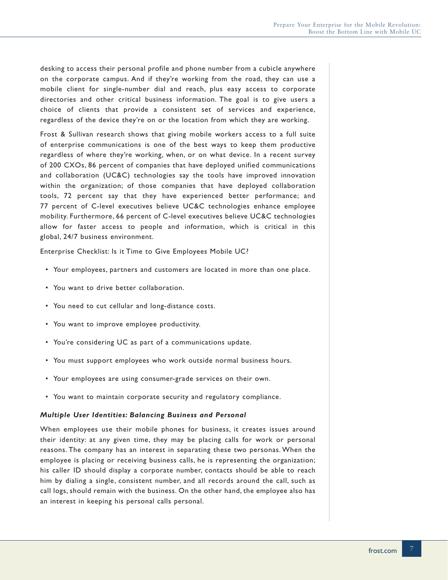desking to access their personal profile and phone number from a cubicle anywhere on the corporate campus. And if they're working from the road, they can use a mobile client for single-number dial and reach, plus easy access to corporate directories and other critical business information. The goal is to give users a choice of clients that provide a consistent set of services and experience, regardless of the device they're on or the location from which they are working.

Frost & Sullivan research shows that giving mobile workers access to a full suite of enterprise communications is one of the best ways to keep them productive regardless of where they're working, when, or on what device. In a recent survey of 200 CXOs, 86 percent of companies that have deployed unified communications and collaboration (UC&C) technologies say the tools have improved innovation within the organization; of those companies that have deployed collaboration tools, 72 percent say that they have experienced better performance; and 77 percent of C-level executives believe UC&C technologies enhance employee mobility. Furthermore, 66 percent of C-level executives believe UC&C technologies allow for faster access to people and information, which is critical in this global, 24/7 business environment.

Enterprise Checklist: Is it Time to Give Employees Mobile UC?

- Your employees, partners and customers are located in more than one place.
- You want to drive better collaboration.
- You need to cut cellular and long-distance costs.
- You want to improve employee productivity.
- You're considering UC as part of a communications update.
- You must support employees who work outside normal business hours.
- Your employees are using consumer-grade services on their own.
- You want to maintain corporate security and regulatory compliance.

#### *Multiple User Identities: Balancing Business and Personal*

When employees use their mobile phones for business, it creates issues around their identity: at any given time, they may be placing calls for work or personal reasons. The company has an interest in separating these two personas. When the employee is placing or receiving business calls, he is representing the organization; his caller ID should display a corporate number, contacts should be able to reach him by dialing a single, consistent number, and all records around the call, such as call logs, should remain with the business. On the other hand, the employee also has an interest in keeping his personal calls personal.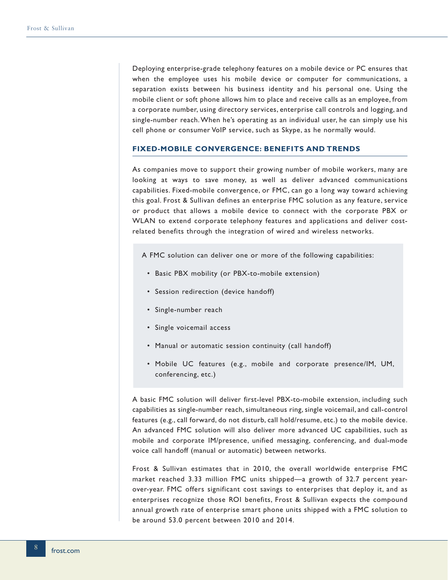Deploying enterprise-grade telephony features on a mobile device or PC ensures that when the employee uses his mobile device or computer for communications, a separation exists between his business identity and his personal one. Using the mobile client or soft phone allows him to place and receive calls as an employee, from a corporate number, using directory services, enterprise call controls and logging, and single-number reach. When he's operating as an individual user, he can simply use his cell phone or consumer VoIP service, such as Skype, as he normally would.

### **FIXED-MOBILE CONVERGENCE: BENEFITS AND TRENDS**

As companies move to support their growing number of mobile workers, many are looking at ways to save money, as well as deliver advanced communications capabilities. Fixed-mobile convergence, or FMC, can go a long way toward achieving this goal. Frost & Sullivan defines an enterprise FMC solution as any feature, service or product that allows a mobile device to connect with the corporate PBX or WLAN to extend corporate telephony features and applications and deliver costrelated benefits through the integration of wired and wireless networks.

- A FMC solution can deliver one or more of the following capabilities:
	- Basic PBX mobility (or PBX-to-mobile extension)
- Session redirection (device handoff)
- Single-number reach
- Single voicemail access
- Manual or automatic session continuity (call handoff)
- Mobile UC features (e.g., mobile and corporate presence/IM, UM, conferencing, etc.)

A basic FMC solution will deliver first-level PBX-to-mobile extension, including such capabilities as single-number reach, simultaneous ring, single voicemail, and call-control features (e.g., call forward, do not disturb, call hold/resume, etc.) to the mobile device. An advanced FMC solution will also deliver more advanced UC capabilities, such as mobile and corporate IM/presence, unified messaging, conferencing, and dual-mode voice call handoff (manual or automatic) between networks.

Frost & Sullivan estimates that in 2010, the overall worldwide enterprise FMC market reached 3.33 million FMC units shipped—a growth of 32.7 percent yearover-year. FMC offers significant cost savings to enterprises that deploy it, and as enterprises recognize those ROI benefits, Frost & Sullivan expects the compound annual growth rate of enterprise smart phone units shipped with a FMC solution to be around 53.0 percent between 2010 and 2014.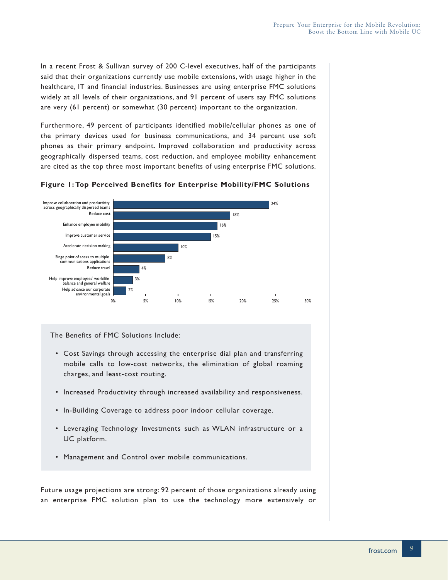In a recent Frost & Sullivan survey of 200 C-level executives, half of the participants said that their organizations currently use mobile extensions, with usage higher in the healthcare, IT and financial industries. Businesses are using enterprise FMC solutions widely at all levels of their organizations, and 91 percent of users say FMC solutions are very (61 percent) or somewhat (30 percent) important to the organization.

Furthermore, 49 percent of participants identified mobile/cellular phones as one of the primary devices used for business communications, and 34 percent use soft phones as their primary endpoint. Improved collaboration and productivity across geographically dispersed teams, cost reduction, and employee mobility enhancement are cited as the top three most important benefits of using enterprise FMC solutions.



#### **Figure 1: Top Perceived Benefits for Enterprise Mobility/FMC Solutions**

The Benefits of FMC Solutions Include:

- Cost Savings through accessing the enterprise dial plan and transferring mobile calls to low-cost networks, the elimination of global roaming charges, and least-cost routing.
- Increased Productivity through increased availability and responsiveness.
- In-Building Coverage to address poor indoor cellular coverage.
- Leveraging Technology Investments such as WLAN infrastructure or a UC platform.
- Management and Control over mobile communications.

Future usage projections are strong: 92 percent of those organizations already using an enterprise FMC solution plan to use the technology more extensively or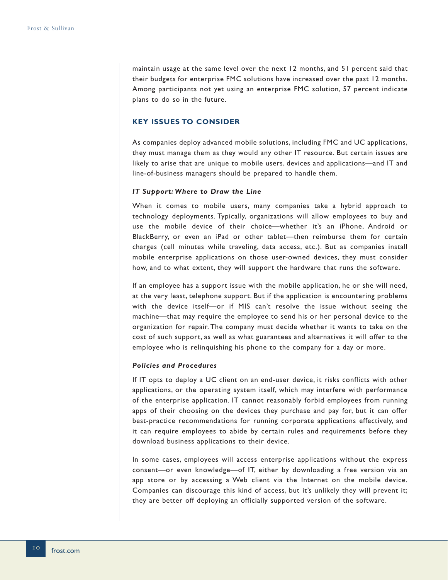maintain usage at the same level over the next 12 months, and 51 percent said that their budgets for enterprise FMC solutions have increased over the past 12 months. Among participants not yet using an enterprise FMC solution, 57 percent indicate plans to do so in the future.

## **KEY ISSUES TO CONSIDER**

As companies deploy advanced mobile solutions, including FMC and UC applications, they must manage them as they would any other IT resource. But certain issues are likely to arise that are unique to mobile users, devices and applications—and IT and line-of-business managers should be prepared to handle them.

#### *IT Support: Where to Draw the Line*

When it comes to mobile users, many companies take a hybrid approach to technology deployments. Typically, organizations will allow employees to buy and use the mobile device of their choice—whether it's an iPhone, Android or BlackBerry, or even an iPad or other tablet—then reimburse them for certain charges (cell minutes while traveling, data access, etc.). But as companies install mobile enterprise applications on those user-owned devices, they must consider how, and to what extent, they will support the hardware that runs the software.

If an employee has a support issue with the mobile application, he or she will need, at the very least, telephone support. But if the application is encountering problems with the device itself—or if MIS can't resolve the issue without seeing the machine—that may require the employee to send his or her personal device to the organization for repair. The company must decide whether it wants to take on the cost of such support, as well as what guarantees and alternatives it will offer to the employee who is relinquishing his phone to the company for a day or more.

## *Policies and Procedures*

If IT opts to deploy a UC client on an end-user device, it risks conflicts with other applications, or the operating system itself, which may interfere with performance of the enterprise application. IT cannot reasonably forbid employees from running apps of their choosing on the devices they purchase and pay for, but it can offer best-practice recommendations for running corporate applications effectively, and it can require employees to abide by certain rules and requirements before they download business applications to their device.

In some cases, employees will access enterprise applications without the express consent—or even knowledge—of IT, either by downloading a free version via an app store or by accessing a Web client via the Internet on the mobile device. Companies can discourage this kind of access, but it's unlikely they will prevent it; they are better off deploying an officially supported version of the software.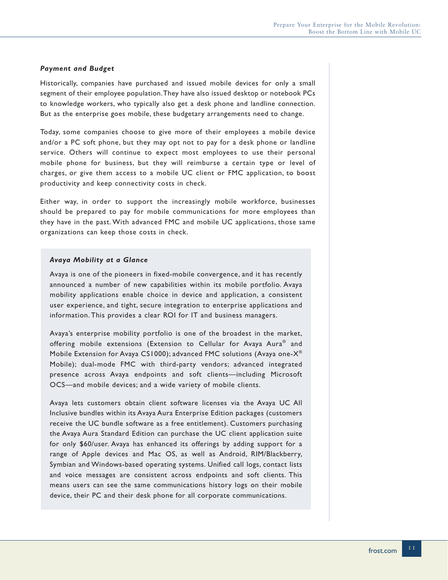## *Payment and Budget*

Historically, companies have purchased and issued mobile devices for only a small segment of their employee population. They have also issued desktop or notebook PCs to knowledge workers, who typically also get a desk phone and landline connection. But as the enterprise goes mobile, these budgetary arrangements need to change.

Today, some companies choose to give more of their employees a mobile device and/or a PC soft phone, but they may opt not to pay for a desk phone or landline service. Others will continue to expect most employees to use their personal mobile phone for business, but they will reimburse a certain type or level of charges, or give them access to a mobile UC client or FMC application, to boost productivity and keep connectivity costs in check.

Either way, in order to support the increasingly mobile workforce, businesses should be prepared to pay for mobile communications for more employees than they have in the past. With advanced FMC and mobile UC applications, those same organizations can keep those costs in check.

#### *Avaya Mobility at a Glance*

Avaya is one of the pioneers in fixed-mobile convergence, and it has recently announced a number of new capabilities within its mobile portfolio. Avaya mobility applications enable choice in device and application, a consistent user experience, and tight, secure integration to enterprise applications and information. This provides a clear ROI for IT and business managers.

Avaya's enterprise mobility portfolio is one of the broadest in the market, offering mobile extensions (Extension to Cellular for Avaya Aura® and Mobile Extension for Avaya CS1000); advanced FMC solutions (Avaya one-X® Mobile); dual-mode FMC with third-party vendors; advanced integrated presence across Avaya endpoints and soft clients—including Microsoft OCS—and mobile devices; and a wide variety of mobile clients.

Avaya lets customers obtain client software licenses via the Avaya UC All Inclusive bundles within its Avaya Aura Enterprise Edition packages (customers receive the UC bundle software as a free entitlement). Customers purchasing the Avaya Aura Standard Edition can purchase the UC client application suite for only \$60/user. Avaya has enhanced its offerings by adding support for a range of Apple devices and Mac OS, as well as Android, RIM/Blackberry, Symbian and Windows-based operating systems. Unified call logs, contact lists and voice messages are consistent across endpoints and soft clients. This means users can see the same communications history logs on their mobile device, their PC and their desk phone for all corporate communications.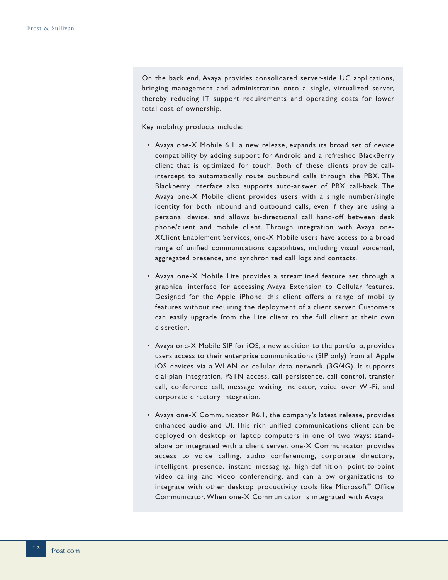On the back end, Avaya provides consolidated server-side UC applications, bringing management and administration onto a single, virtualized server, thereby reducing IT support requirements and operating costs for lower total cost of ownership.

Key mobility products include:

- Avaya one-X Mobile 6.1, a new release, expands its broad set of device compatibility by adding support for Android and a refreshed BlackBerry client that is optimized for touch. Both of these clients provide callintercept to automatically route outbound calls through the PBX. The Blackberry interface also supports auto-answer of PBX call-back. The Avaya one-X Mobile client provides users with a single number/single identity for both inbound and outbound calls, even if they are using a personal device, and allows bi-directional call hand-off between desk phone/client and mobile client. Through integration with Avaya one-XClient Enablement Services, one-X Mobile users have access to a broad range of unified communications capabilities, including visual voicemail, aggregated presence, and synchronized call logs and contacts.
- Avaya one-X Mobile Lite provides a streamlined feature set through a graphical interface for accessing Avaya Extension to Cellular features. Designed for the Apple iPhone, this client offers a range of mobility features without requiring the deployment of a client server. Customers can easily upgrade from the Lite client to the full client at their own discretion.
- Avaya one-X Mobile SIP for iOS, a new addition to the portfolio, provides users access to their enterprise communications (SIP only) from all Apple iOS devices via a WLAN or cellular data network (3G/4G). It supports dial-plan integration, PSTN access, call persistence, call control, transfer call, conference call, message waiting indicator, voice over Wi-Fi, and corporate directory integration.
- Avaya one-X Communicator R6.1, the company's latest release, provides enhanced audio and UI. This rich unified communications client can be deployed on desktop or laptop computers in one of two ways: standalone or integrated with a client server. one-X Communicator provides access to voice calling, audio conferencing, corporate directory, intelligent presence, instant messaging, high-definition point-to-point video calling and video conferencing, and can allow organizations to integrate with other desktop productivity tools like Microsoft® Office Communicator. When one-X Communicator is integrated with Avaya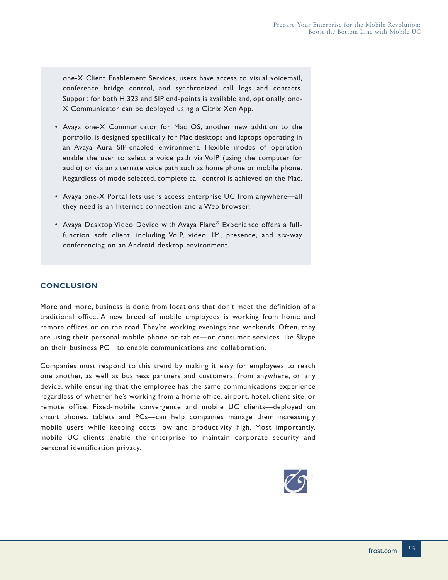one-X Client Enablement Services, users have access to visual voicemail, conference bridge control, and synchronized call logs and contacts. Support for both H.323 and SIP end-points is available and, optionally, one-X Communicator can be deployed using a Citrix Xen App.

- Avaya one-X Communicator for Mac OS, another new addition to the portfolio, is designed specifically for Mac desktops and laptops operating in an Avaya Aura SIP-enabled environment. Flexible modes of operation enable the user to select a voice path via VoIP (using the computer for audio) or via an alternate voice path such as home phone or mobile phone. Regardless of mode selected, complete call control is achieved on the Mac.
- Avaya one-X Portal lets users access enterprise UC from anywhere—all they need is an Internet connection and a Web browser.
- Avaya Desktop Video Device with Avaya Flare® Experience offers a fullfunction soft client, including VoIP, video, IM, presence, and six-way conferencing on an Android desktop environment.

# **CONCLUSION**

More and more, business is done from locations that don't meet the definition of a traditional office. A new breed of mobile employees is working from home and remote offices or on the road. They're working evenings and weekends. Often, they are using their personal mobile phone or tablet—or consumer services like Skype on their business PC—to enable communications and collaboration.

Companies must respond to this trend by making it easy for employees to reach one another, as well as business partners and customers, from anywhere, on any device, while ensuring that the employee has the same communications experience regardless of whether he's working from a home office, airport, hotel, client site, or remote office. Fixed-mobile convergence and mobile UC clients—deployed on smart phones, tablets and PCs—can help companies manage their increasingly mobile users while keeping costs low and productivity high. Most importantly, mobile UC clients enable the enterprise to maintain corporate security and personal identification privacy.